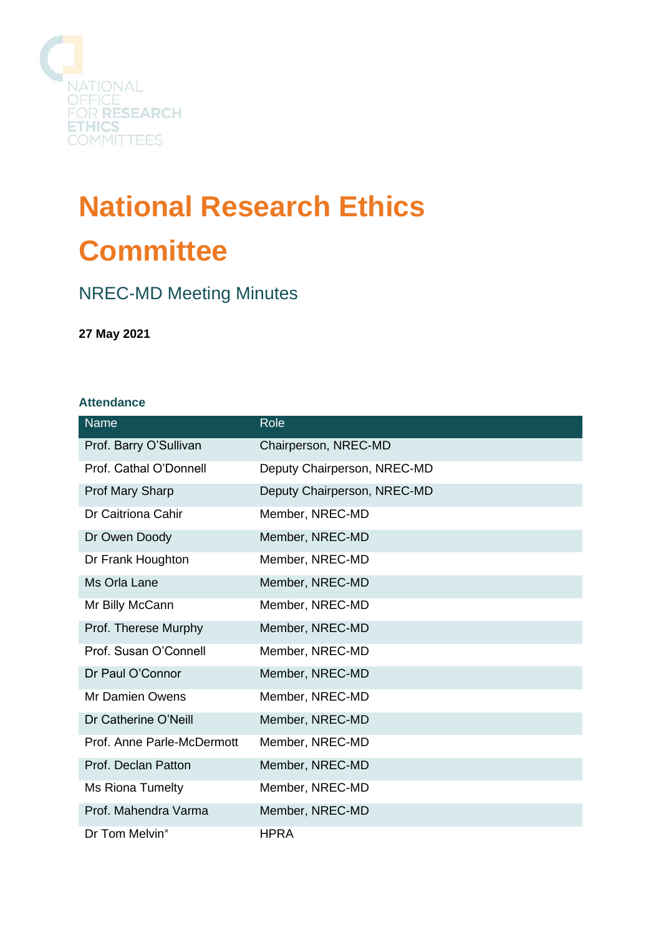

# **National Research Ethics Committee**

# NREC-MD Meeting Minutes

**27 May 2021**

## **Attendance**

| <b>Name</b>                | Role                        |
|----------------------------|-----------------------------|
| Prof. Barry O'Sullivan     | Chairperson, NREC-MD        |
| Prof. Cathal O'Donnell     | Deputy Chairperson, NREC-MD |
| <b>Prof Mary Sharp</b>     | Deputy Chairperson, NREC-MD |
| Dr Caitriona Cahir         | Member, NREC-MD             |
| Dr Owen Doody              | Member, NREC-MD             |
| Dr Frank Houghton          | Member, NREC-MD             |
| Ms Orla Lane               | Member, NREC-MD             |
| Mr Billy McCann            | Member, NREC-MD             |
| Prof. Therese Murphy       | Member, NREC-MD             |
| Prof. Susan O'Connell      | Member, NREC-MD             |
| Dr Paul O'Connor           | Member, NREC-MD             |
| Mr Damien Owens            | Member, NREC-MD             |
| Dr Catherine O'Neill       | Member, NREC-MD             |
| Prof. Anne Parle-McDermott | Member, NREC-MD             |
| Prof. Declan Patton        | Member, NREC-MD             |
| Ms Riona Tumelty           | Member, NREC-MD             |
| Prof. Mahendra Varma       | Member, NREC-MD             |
| Dr Tom Melvin <sup>x</sup> | <b>HPRA</b>                 |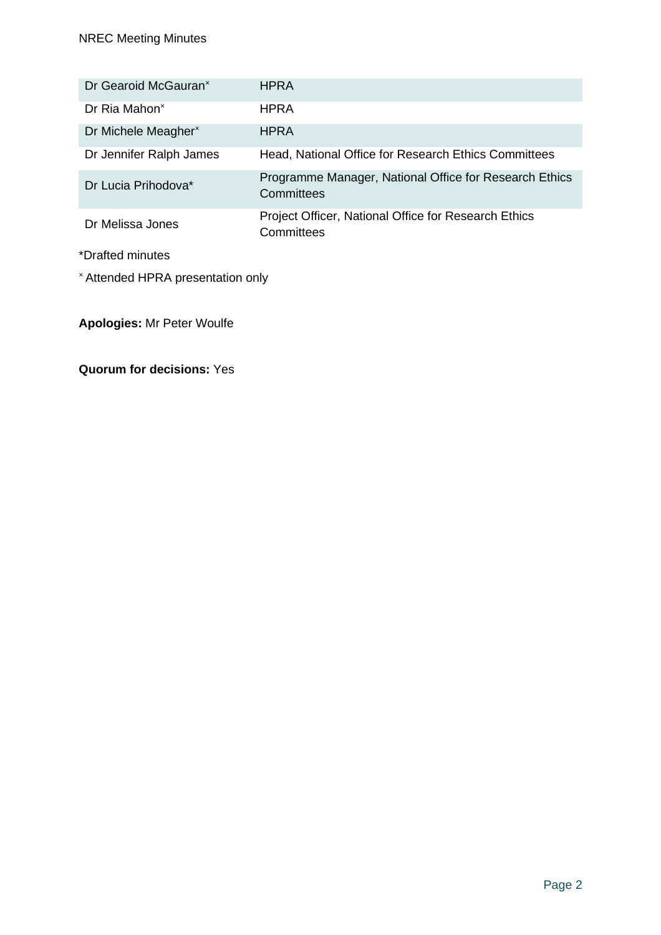| Dr Gearoid McGauran <sup>×</sup>  | <b>HPRA</b>                                                          |  |
|-----------------------------------|----------------------------------------------------------------------|--|
| Dr Ria Mahon <sup>×</sup>         | <b>HPRA</b>                                                          |  |
| Dr Michele Meagher <sup>x</sup>   | <b>HPRA</b>                                                          |  |
| Dr Jennifer Ralph James           | Head, National Office for Research Ethics Committees                 |  |
| Dr Lucia Prihodova*               | Programme Manager, National Office for Research Ethics<br>Committees |  |
| Dr Melissa Jones                  | Project Officer, National Office for Research Ethics<br>Committees   |  |
| *Drafted minutes                  |                                                                      |  |
| * Attended HPRA presentation only |                                                                      |  |

**Apologies:** Mr Peter Woulfe

**Quorum for decisions:** Yes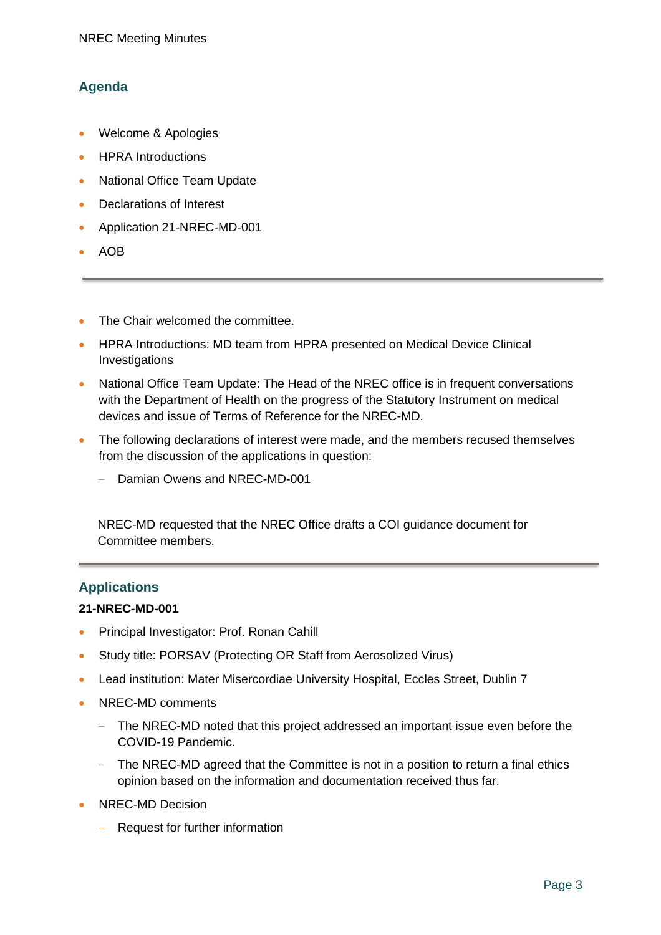# **Agenda**

- Welcome & Apologies
- **HPRA** Introductions
- National Office Team Update
- Declarations of Interest
- Application 21-NREC-MD-001
- AOB
- The Chair welcomed the committee.
- HPRA Introductions: MD team from HPRA presented on Medical Device Clinical Investigations
- National Office Team Update: The Head of the NREC office is in frequent conversations with the Department of Health on the progress of the Statutory Instrument on medical devices and issue of Terms of Reference for the NREC-MD.
- The following declarations of interest were made, and the members recused themselves from the discussion of the applications in question:
	- Damian Owens and NREC-MD-001

NREC-MD requested that the NREC Office drafts a COI guidance document for Committee members.

## **Applications**

#### **21-NREC-MD-001**

- Principal Investigator: Prof. Ronan Cahill
- Study title: PORSAV (Protecting OR Staff from Aerosolized Virus)
- Lead institution: Mater Misercordiae University Hospital, Eccles Street, Dublin 7
- NRFC-MD comments
	- The NREC-MD noted that this project addressed an important issue even before the COVID-19 Pandemic.
	- The NREC-MD agreed that the Committee is not in a position to return a final ethics opinion based on the information and documentation received thus far.
- NREC-MD Decision
	- Request for further information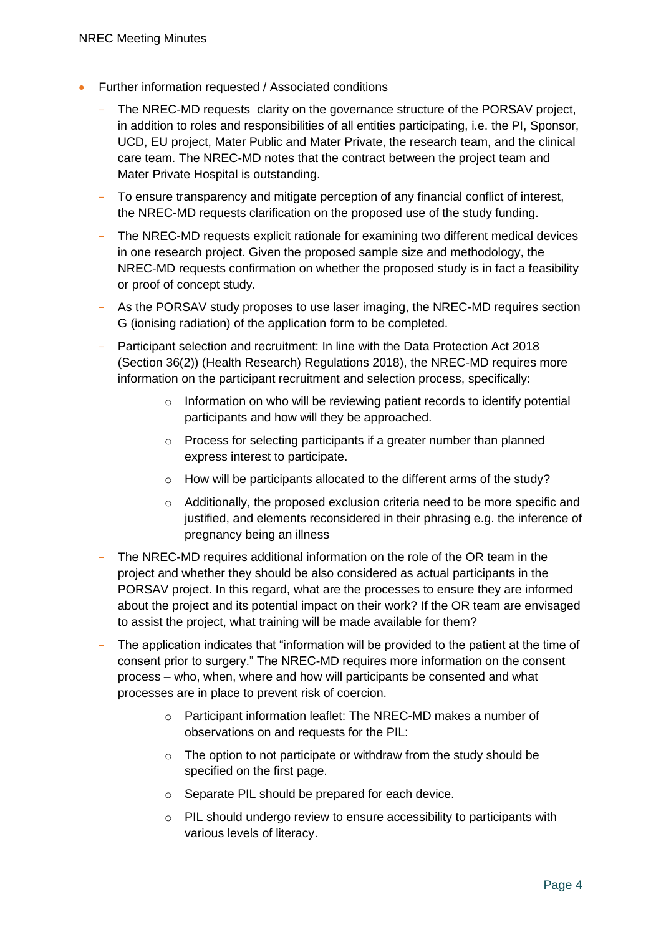- Further information requested / Associated conditions
	- The NREC-MD requests clarity on the governance structure of the PORSAV project, in addition to roles and responsibilities of all entities participating, i.e. the PI, Sponsor, UCD, EU project, Mater Public and Mater Private, the research team, and the clinical care team. The NREC-MD notes that the contract between the project team and Mater Private Hospital is outstanding.
	- To ensure transparency and mitigate perception of any financial conflict of interest, the NREC-MD requests clarification on the proposed use of the study funding.
	- The NREC-MD requests explicit rationale for examining two different medical devices in one research project. Given the proposed sample size and methodology, the NREC-MD requests confirmation on whether the proposed study is in fact a feasibility or proof of concept study.
	- As the PORSAV study proposes to use laser imaging, the NREC-MD requires section G (ionising radiation) of the application form to be completed.
	- Participant selection and recruitment: In line with the Data Protection Act 2018 (Section 36(2)) (Health Research) Regulations 2018), the NREC-MD requires more information on the participant recruitment and selection process, specifically:
		- $\circ$  Information on who will be reviewing patient records to identify potential participants and how will they be approached.
		- o Process for selecting participants if a greater number than planned express interest to participate.
		- o How will be participants allocated to the different arms of the study?
		- $\circ$  Additionally, the proposed exclusion criteria need to be more specific and justified, and elements reconsidered in their phrasing e.g. the inference of pregnancy being an illness
	- The NREC-MD requires additional information on the role of the OR team in the project and whether they should be also considered as actual participants in the PORSAV project. In this regard, what are the processes to ensure they are informed about the project and its potential impact on their work? If the OR team are envisaged to assist the project, what training will be made available for them?
	- The application indicates that "information will be provided to the patient at the time of consent prior to surgery." The NREC-MD requires more information on the consent process – who, when, where and how will participants be consented and what processes are in place to prevent risk of coercion.
		- o Participant information leaflet: The NREC-MD makes a number of observations on and requests for the PIL:
		- $\circ$  The option to not participate or withdraw from the study should be specified on the first page.
		- o Separate PIL should be prepared for each device.
		- o PIL should undergo review to ensure accessibility to participants with various levels of literacy.